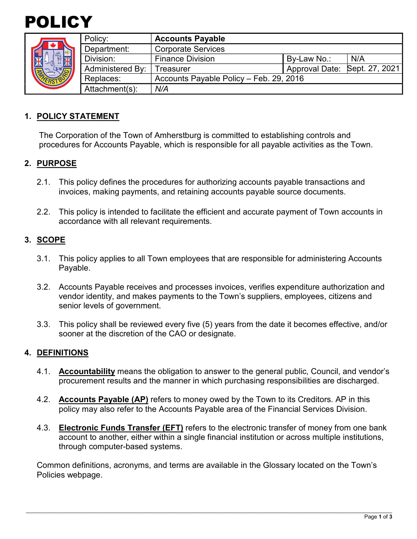



|  | Policy:                 | <b>Accounts Payable</b>                 |                               |     |
|--|-------------------------|-----------------------------------------|-------------------------------|-----|
|  | Department:             | <b>Corporate Services</b>               |                               |     |
|  | Division:               | <b>Finance Division</b>                 | By-Law No.:                   | N/A |
|  | <b>Administered By:</b> | Treasurer                               | Approval Date: Sept. 27, 2021 |     |
|  | Replaces:               | Accounts Payable Policy - Feb. 29, 2016 |                               |     |
|  | Attachment(s):          | N/A                                     |                               |     |

## **1. POLICY STATEMENT**

The Corporation of the Town of Amherstburg is committed to establishing controls and procedures for Accounts Payable, which is responsible for all payable activities as the Town.

### **2. PURPOSE**

- 2.1. This policy defines the procedures for authorizing accounts payable transactions and invoices, making payments, and retaining accounts payable source documents.
- 2.2. This policy is intended to facilitate the efficient and accurate payment of Town accounts in accordance with all relevant requirements.

## **3. SCOPE**

- 3.1. This policy applies to all Town employees that are responsible for administering Accounts Payable.
- 3.2. Accounts Payable receives and processes invoices, verifies expenditure authorization and vendor identity, and makes payments to the Town's suppliers, employees, citizens and senior levels of government.
- 3.3. This policy shall be reviewed every five (5) years from the date it becomes effective, and/or sooner at the discretion of the CAO or designate.

### **4. DEFINITIONS**

- 4.1. **Accountability** means the obligation to answer to the general public, Council, and vendor's procurement results and the manner in which purchasing responsibilities are discharged.
- 4.2. **Accounts Payable (AP)** refers to money owed by the Town to its Creditors. AP in this policy may also refer to the Accounts Payable area of the Financial Services Division.
- 4.3. **Electronic Funds Transfer (EFT)** refers to the electronic transfer of money from one bank account to another, either within a single financial institution or across multiple institutions, through computer-based systems.

Common definitions, acronyms, and terms are available in the Glossary located on the Town's Policies webpage.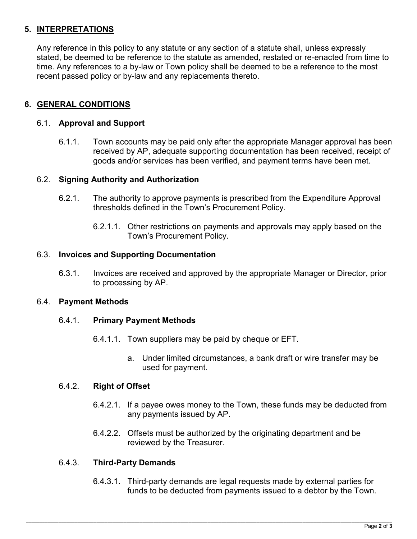## **5. INTERPRETATIONS**

Any reference in this policy to any statute or any section of a statute shall, unless expressly stated, be deemed to be reference to the statute as amended, restated or re-enacted from time to time. Any references to a by-law or Town policy shall be deemed to be a reference to the most recent passed policy or by-law and any replacements thereto.

## **6. GENERAL CONDITIONS**

#### 6.1. **Approval and Support**

6.1.1. Town accounts may be paid only after the appropriate Manager approval has been received by AP, adequate supporting documentation has been received, receipt of goods and/or services has been verified, and payment terms have been met.

### 6.2. **Signing Authority and Authorization**

- 6.2.1. The authority to approve payments is prescribed from the Expenditure Approval thresholds defined in the Town's Procurement Policy.
	- 6.2.1.1. Other restrictions on payments and approvals may apply based on the Town's Procurement Policy.

#### 6.3. **Invoices and Supporting Documentation**

6.3.1. Invoices are received and approved by the appropriate Manager or Director, prior to processing by AP.

#### 6.4. **Payment Methods**

#### 6.4.1. **Primary Payment Methods**

- 6.4.1.1. Town suppliers may be paid by cheque or EFT.
	- a. Under limited circumstances, a bank draft or wire transfer may be used for payment.

#### 6.4.2. **Right of Offset**

- 6.4.2.1. If a payee owes money to the Town, these funds may be deducted from any payments issued by AP.
- 6.4.2.2. Offsets must be authorized by the originating department and be reviewed by the Treasurer.

### 6.4.3. **Third-Party Demands**

6.4.3.1. Third-party demands are legal requests made by external parties for funds to be deducted from payments issued to a debtor by the Town.